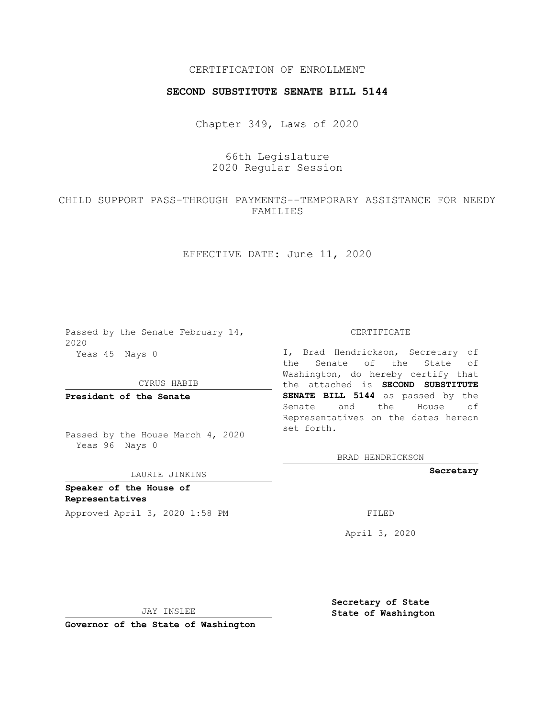### CERTIFICATION OF ENROLLMENT

#### **SECOND SUBSTITUTE SENATE BILL 5144**

Chapter 349, Laws of 2020

# 66th Legislature 2020 Regular Session

# CHILD SUPPORT PASS-THROUGH PAYMENTS--TEMPORARY ASSISTANCE FOR NEEDY FAMILIES

## EFFECTIVE DATE: June 11, 2020

Passed by the Senate February 14, 2020 Yeas 45 Nays 0

CYRUS HABIB

**President of the Senate**

Passed by the House March 4, 2020 Yeas 96 Nays 0

#### LAURIE JINKINS

**Speaker of the House of Representatives**

Approved April 3, 2020 1:58 PM FILED

CERTIFICATE

I, Brad Hendrickson, Secretary of the Senate of the State of Washington, do hereby certify that the attached is **SECOND SUBSTITUTE SENATE BILL 5144** as passed by the Senate and the House of Representatives on the dates hereon set forth.

BRAD HENDRICKSON

**Secretary**

April 3, 2020

JAY INSLEE

**Governor of the State of Washington**

**Secretary of State State of Washington**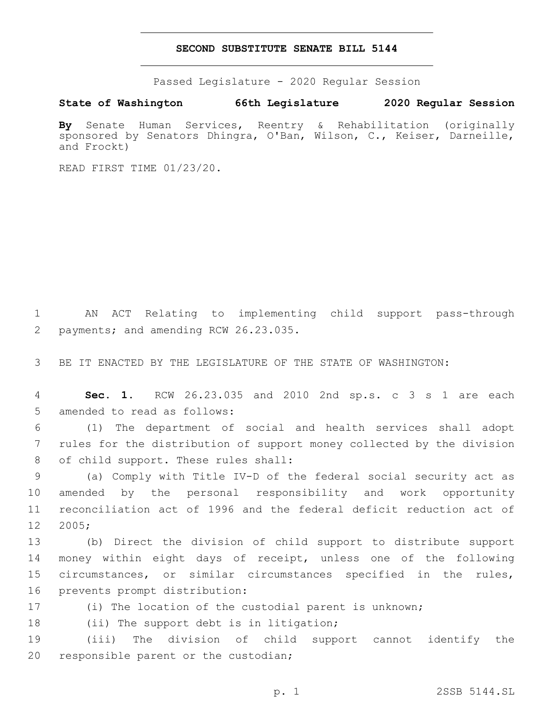#### **SECOND SUBSTITUTE SENATE BILL 5144**

Passed Legislature - 2020 Regular Session

**State of Washington 66th Legislature 2020 Regular Session**

**By** Senate Human Services, Reentry & Rehabilitation (originally sponsored by Senators Dhingra, O'Ban, Wilson, C., Keiser, Darneille, and Frockt)

READ FIRST TIME 01/23/20.

1 AN ACT Relating to implementing child support pass-through 2 payments; and amending RCW 26.23.035.

3 BE IT ENACTED BY THE LEGISLATURE OF THE STATE OF WASHINGTON:

4 **Sec. 1.** RCW 26.23.035 and 2010 2nd sp.s. c 3 s 1 are each 5 amended to read as follows:

6 (1) The department of social and health services shall adopt 7 rules for the distribution of support money collected by the division 8 of child support. These rules shall:

 (a) Comply with Title IV-D of the federal social security act as amended by the personal responsibility and work opportunity reconciliation act of 1996 and the federal deficit reduction act of 12 2005;

 (b) Direct the division of child support to distribute support money within eight days of receipt, unless one of the following circumstances, or similar circumstances specified in the rules, 16 prevents prompt distribution:

17 (i) The location of the custodial parent is unknown;

18 (ii) The support debt is in litigation;

19 (iii) The division of child support cannot identify the 20 responsible parent or the custodian;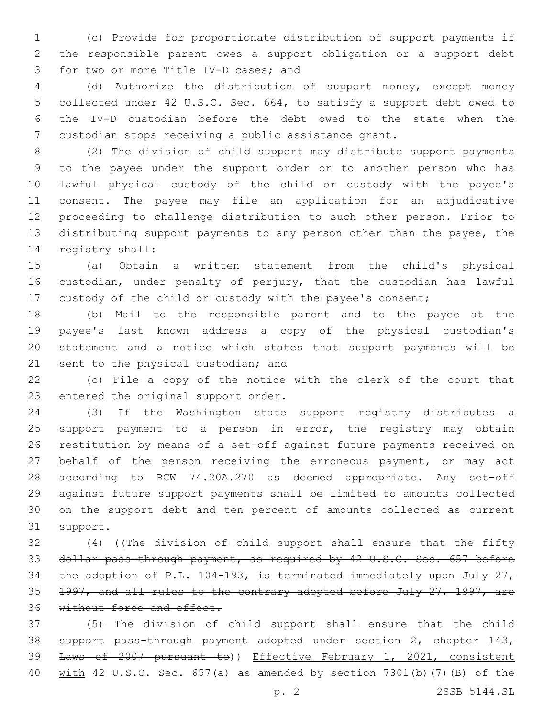(c) Provide for proportionate distribution of support payments if the responsible parent owes a support obligation or a support debt 3 for two or more Title IV-D cases; and

 (d) Authorize the distribution of support money, except money collected under 42 U.S.C. Sec. 664, to satisfy a support debt owed to the IV-D custodian before the debt owed to the state when the custodian stops receiving a public assistance grant.

 (2) The division of child support may distribute support payments to the payee under the support order or to another person who has lawful physical custody of the child or custody with the payee's consent. The payee may file an application for an adjudicative proceeding to challenge distribution to such other person. Prior to distributing support payments to any person other than the payee, the 14 registry shall:

 (a) Obtain a written statement from the child's physical custodian, under penalty of perjury, that the custodian has lawful custody of the child or custody with the payee's consent;

 (b) Mail to the responsible parent and to the payee at the payee's last known address a copy of the physical custodian's statement and a notice which states that support payments will be 21 sent to the physical custodian; and

 (c) File a copy of the notice with the clerk of the court that 23 entered the original support order.

 (3) If the Washington state support registry distributes a 25 support payment to a person in error, the registry may obtain restitution by means of a set-off against future payments received on behalf of the person receiving the erroneous payment, or may act according to RCW 74.20A.270 as deemed appropriate. Any set-off against future support payments shall be limited to amounts collected on the support debt and ten percent of amounts collected as current 31 support.

 (4) ((The division of child support shall ensure that the fifty dollar pass-through payment, as required by 42 U.S.C. Sec. 657 before the adoption of P.L. 104-193, is terminated immediately upon July 27, 1997, and all rules to the contrary adopted before July 27, 1997, are 36 without force and effect.

 (5) The division of child support shall ensure that the child support pass-through payment adopted under section 2, chapter 143, 39 Laws of 2007 pursuant to)) Effective February 1, 2021, consistent with 42 U.S.C. Sec. 657(a) as amended by section 7301(b)(7)(B) of the

p. 2 2SSB 5144.SL